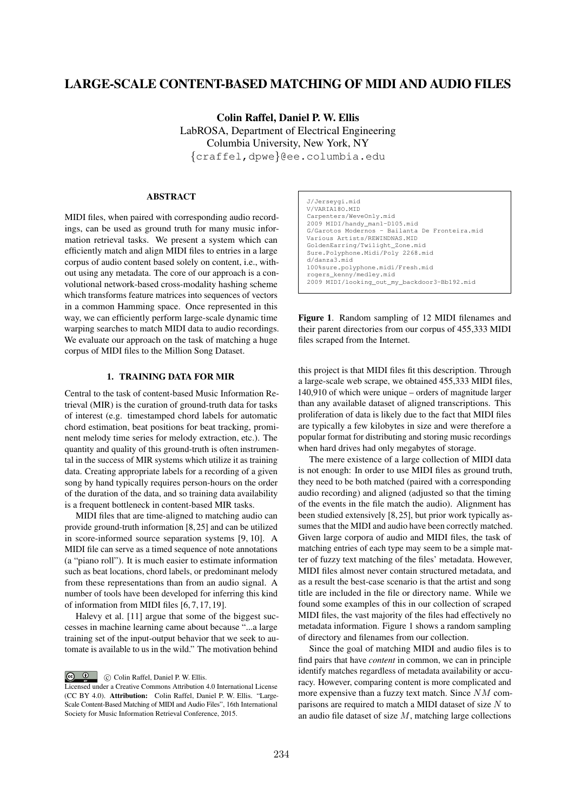# LARGE-SCALE CONTENT-BASED MATCHING OF MIDI AND AUDIO FILES

Colin Raffel, Daniel P. W. Ellis LabROSA, Department of Electrical Engineering Columbia University, New York, NY *{*craffel,dpwe*}*@ee.columbia.edu

# ABSTRACT

MIDI files, when paired with corresponding audio recordings, can be used as ground truth for many music information retrieval tasks. We present a system which can efficiently match and align MIDI files to entries in a large corpus of audio content based solely on content, i.e., without using any metadata. The core of our approach is a convolutional network-based cross-modality hashing scheme which transforms feature matrices into sequences of vectors in a common Hamming space. Once represented in this way, we can efficiently perform large-scale dynamic time warping searches to match MIDI data to audio recordings. We evaluate our approach on the task of matching a huge corpus of MIDI files to the Million Song Dataset.

## 1. TRAINING DATA FOR MIR

Central to the task of content-based Music Information Retrieval (MIR) is the curation of ground-truth data for tasks of interest (e.g. timestamped chord labels for automatic chord estimation, beat positions for beat tracking, prominent melody time series for melody extraction, etc.). The quantity and quality of this ground-truth is often instrumental in the success of MIR systems which utilize it as training data. Creating appropriate labels for a recording of a given song by hand typically requires person-hours on the order of the duration of the data, and so training data availability is a frequent bottleneck in content-based MIR tasks.

MIDI files that are time-aligned to matching audio can provide ground-truth information [8, 25] and can be utilized in score-informed source separation systems [9, 10]. A MIDI file can serve as a timed sequence of note annotations (a "piano roll"). It is much easier to estimate information such as beat locations, chord labels, or predominant melody from these representations than from an audio signal. A number of tools have been developed for inferring this kind of information from MIDI files [6, 7, 17, 19].

Halevy et al. [11] argue that some of the biggest successes in machine learning came about because "...a large training set of the input-output behavior that we seek to automate is available to us in the wild." The motivation behind

C Colin Raffel, Daniel P. W. Ellis.

J/Jerseygi.mid V/VARIA18O.MID Carpenters/WeveOnly.mid 2009 MIDI/handy\_man1-D105.mid G/Garotos Modernos - Bailanta De Fronteira.mid Various Artists/REWINDNAS.MID GoldenEarring/Twilight\_Zone.mid Sure.Polyphone.Midi/Poly 2268.mid d/danza3.mid 100%sure.polyphone.midi/Fresh.mid rogers\_kenny/medley.mid 2009 MIDI/looking\_out\_my\_backdoor3-Bb192.mid

Figure 1. Random sampling of 12 MIDI filenames and their parent directories from our corpus of 455,333 MIDI files scraped from the Internet.

this project is that MIDI files fit this description. Through a large-scale web scrape, we obtained 455,333 MIDI files, 140,910 of which were unique – orders of magnitude larger than any available dataset of aligned transcriptions. This proliferation of data is likely due to the fact that MIDI files are typically a few kilobytes in size and were therefore a popular format for distributing and storing music recordings when hard drives had only megabytes of storage.

The mere existence of a large collection of MIDI data is not enough: In order to use MIDI files as ground truth, they need to be both matched (paired with a corresponding audio recording) and aligned (adjusted so that the timing of the events in the file match the audio). Alignment has been studied extensively [8, 25], but prior work typically assumes that the MIDI and audio have been correctly matched. Given large corpora of audio and MIDI files, the task of matching entries of each type may seem to be a simple matter of fuzzy text matching of the files' metadata. However, MIDI files almost never contain structured metadata, and as a result the best-case scenario is that the artist and song title are included in the file or directory name. While we found some examples of this in our collection of scraped MIDI files, the vast majority of the files had effectively no metadata information. Figure 1 shows a random sampling of directory and filenames from our collection.

Since the goal of matching MIDI and audio files is to find pairs that have *content* in common, we can in principle identify matches regardless of metadata availability or accuracy. However, comparing content is more complicated and more expensive than a fuzzy text match. Since *NM* comparisons are required to match a MIDI dataset of size *N* to an audio file dataset of size *M*, matching large collections

Licensed under a Creative Commons Attribution 4.0 International License (CC BY 4.0). Attribution: Colin Raffel, Daniel P. W. Ellis. "Large-Scale Content-Based Matching of MIDI and Audio Files", 16th International Society for Music Information Retrieval Conference, 2015.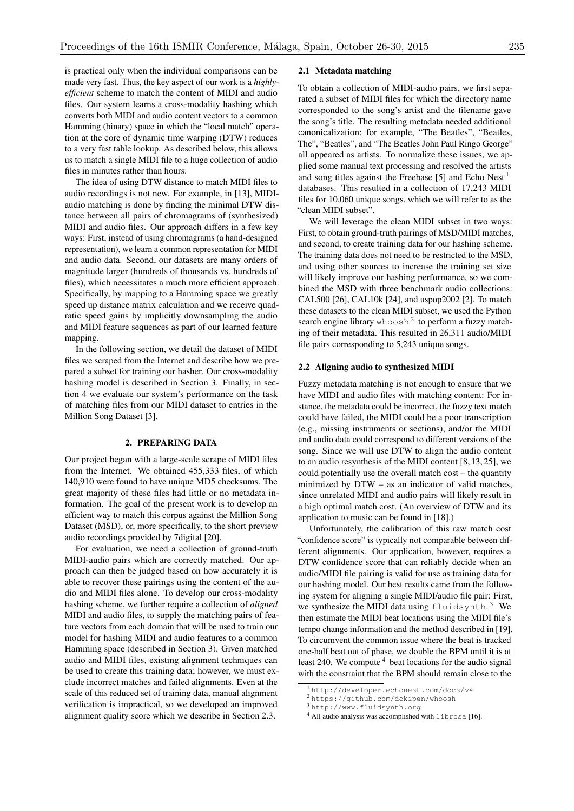is practical only when the individual comparisons can be made very fast. Thus, the key aspect of our work is a *highlyefficient* scheme to match the content of MIDI and audio files. Our system learns a cross-modality hashing which converts both MIDI and audio content vectors to a common Hamming (binary) space in which the "local match" operation at the core of dynamic time warping (DTW) reduces to a very fast table lookup. As described below, this allows us to match a single MIDI file to a huge collection of audio files in minutes rather than hours.

The idea of using DTW distance to match MIDI files to audio recordings is not new. For example, in [13], MIDIaudio matching is done by finding the minimal DTW distance between all pairs of chromagrams of (synthesized) MIDI and audio files. Our approach differs in a few key ways: First, instead of using chromagrams (a hand-designed representation), we learn a common representation for MIDI and audio data. Second, our datasets are many orders of magnitude larger (hundreds of thousands vs. hundreds of files), which necessitates a much more efficient approach. Specifically, by mapping to a Hamming space we greatly speed up distance matrix calculation and we receive quadratic speed gains by implicitly downsampling the audio and MIDI feature sequences as part of our learned feature mapping.

In the following section, we detail the dataset of MIDI files we scraped from the Internet and describe how we prepared a subset for training our hasher. Our cross-modality hashing model is described in Section 3. Finally, in section 4 we evaluate our system's performance on the task of matching files from our MIDI dataset to entries in the Million Song Dataset [3].

### 2. PREPARING DATA

Our project began with a large-scale scrape of MIDI files from the Internet. We obtained 455,333 files, of which 140,910 were found to have unique MD5 checksums. The great majority of these files had little or no metadata information. The goal of the present work is to develop an efficient way to match this corpus against the Million Song Dataset (MSD), or, more specifically, to the short preview audio recordings provided by 7digital [20].

For evaluation, we need a collection of ground-truth MIDI-audio pairs which are correctly matched. Our approach can then be judged based on how accurately it is able to recover these pairings using the content of the audio and MIDI files alone. To develop our cross-modality hashing scheme, we further require a collection of *aligned* MIDI and audio files, to supply the matching pairs of feature vectors from each domain that will be used to train our model for hashing MIDI and audio features to a common Hamming space (described in Section 3). Given matched audio and MIDI files, existing alignment techniques can be used to create this training data; however, we must exclude incorrect matches and failed alignments. Even at the scale of this reduced set of training data, manual alignment verification is impractical, so we developed an improved alignment quality score which we describe in Section 2.3.

## 2.1 Metadata matching

To obtain a collection of MIDI-audio pairs, we first separated a subset of MIDI files for which the directory name corresponded to the song's artist and the filename gave the song's title. The resulting metadata needed additional canonicalization; for example, "The Beatles", "Beatles, The", "Beatles", and "The Beatles John Paul Ringo George" all appeared as artists. To normalize these issues, we applied some manual text processing and resolved the artists and song titles against the Freebase [5] and Echo Nest<sup>1</sup> databases. This resulted in a collection of 17,243 MIDI files for 10,060 unique songs, which we will refer to as the "clean MIDI subset".

We will leverage the clean MIDI subset in two ways: First, to obtain ground-truth pairings of MSD/MIDI matches, and second, to create training data for our hashing scheme. The training data does not need to be restricted to the MSD, and using other sources to increase the training set size will likely improve our hashing performance, so we combined the MSD with three benchmark audio collections: CAL500 [26], CAL10k [24], and uspop2002 [2]. To match these datasets to the clean MIDI subset, we used the Python search engine library whoosh<sup>2</sup> to perform a fuzzy matching of their metadata. This resulted in 26,311 audio/MIDI file pairs corresponding to 5,243 unique songs.

#### 2.2 Aligning audio to synthesized MIDI

Fuzzy metadata matching is not enough to ensure that we have MIDI and audio files with matching content: For instance, the metadata could be incorrect, the fuzzy text match could have failed, the MIDI could be a poor transcription (e.g., missing instruments or sections), and/or the MIDI and audio data could correspond to different versions of the song. Since we will use DTW to align the audio content to an audio resynthesis of the MIDI content [8, 13, 25], we could potentially use the overall match cost – the quantity minimized by DTW – as an indicator of valid matches, since unrelated MIDI and audio pairs will likely result in a high optimal match cost. (An overview of DTW and its application to music can be found in [18].)

Unfortunately, the calibration of this raw match cost "confidence score" is typically not comparable between different alignments. Our application, however, requires a DTW confidence score that can reliably decide when an audio/MIDI file pairing is valid for use as training data for our hashing model. Our best results came from the following system for aligning a single MIDI/audio file pair: First, we synthesize the MIDI data using  $\text{fluids}$  ynth.<sup>3</sup> We then estimate the MIDI beat locations using the MIDI file's tempo change information and the method described in [19]. To circumvent the common issue where the beat is tracked one-half beat out of phase, we double the BPM until it is at least 240. We compute  $4$  beat locations for the audio signal with the constraint that the BPM should remain close to the

<sup>1</sup> http://developer.echonest.com/docs/v4

<sup>2</sup> https://github.com/dokipen/whoosh

<sup>3</sup> http://www.fluidsynth.org

<sup>4</sup> All audio analysis was accomplished with librosa [16].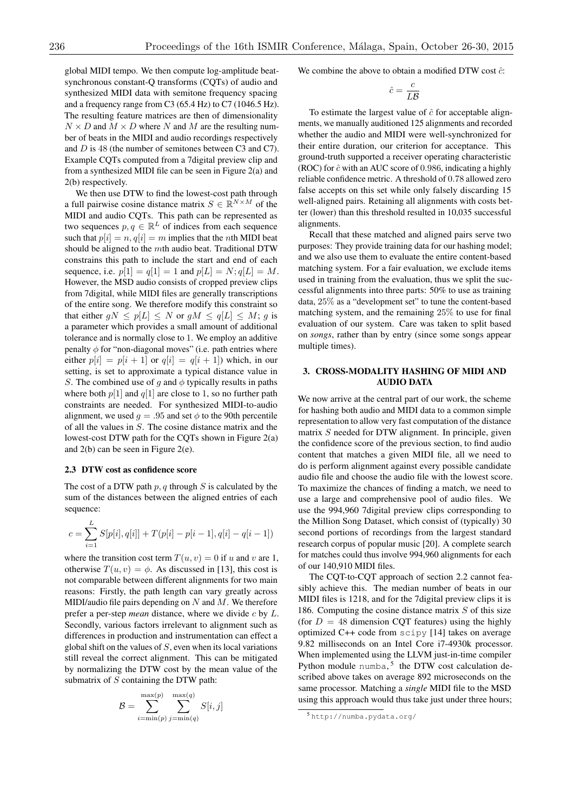global MIDI tempo. We then compute log-amplitude beatsynchronous constant-Q transforms (CQTs) of audio and synthesized MIDI data with semitone frequency spacing and a frequency range from C3 (65.4 Hz) to C7 (1046.5 Hz). The resulting feature matrices are then of dimensionality  $N \times D$  and  $M \times D$  where *N* and *M* are the resulting number of beats in the MIDI and audio recordings respectively and *D* is 48 (the number of semitones between C3 and C7). Example CQTs computed from a 7digital preview clip and from a synthesized MIDI file can be seen in Figure 2(a) and 2(b) respectively.

We then use DTW to find the lowest-cost path through a full pairwise cosine distance matrix  $S \in \mathbb{R}^{N \times M}$  of the MIDI and audio CQTs. This path can be represented as two sequences  $p, q \in \mathbb{R}^L$  of indices from each sequence such that  $p[i] = n$ ,  $q[i] = m$  implies that the *n*th MIDI beat should be aligned to the *m*th audio beat. Traditional DTW constrains this path to include the start and end of each sequence, i.e.  $p[1] = q[1] = 1$  and  $p[L] = N$ ;  $q[L] = M$ . However, the MSD audio consists of cropped preview clips from 7digital, while MIDI files are generally transcriptions of the entire song. We therefore modify this constraint so that either  $qN \leq p[L] \leq N$  or  $qM \leq q[L] \leq M$ ; *q* is a parameter which provides a small amount of additional tolerance and is normally close to 1. We employ an additive penalty  $\phi$  for "non-diagonal moves" (i.e. path entries where either  $p[i] = p[i+1]$  or  $q[i] = q[i+1]$  which, in our setting, is set to approximate a typical distance value in *S*. The combined use of *g* and  $\phi$  typically results in paths where both  $p[1]$  and  $q[1]$  are close to 1, so no further path constraints are needed. For synthesized MIDI-to-audio alignment, we used  $q = .95$  and set  $\phi$  to the 90th percentile of all the values in *S*. The cosine distance matrix and the lowest-cost DTW path for the CQTs shown in Figure 2(a) and 2(b) can be seen in Figure 2(e).

#### 2.3 DTW cost as confidence score

*L*

The cost of a DTW path *p, q* through *S* is calculated by the sum of the distances between the aligned entries of each sequence:

$$
c = \sum_{i=1}^{L} S[p[i], q[i]] + T(p[i] - p[i-1], q[i] - q[i-1])
$$

where the transition cost term  $T(u, v) = 0$  if *u* and *v* are 1, otherwise  $T(u, v) = \phi$ . As discussed in [13], this cost is not comparable between different alignments for two main reasons: Firstly, the path length can vary greatly across MIDI/audio file pairs depending on *N* and *M*. We therefore prefer a per-step *mean* distance, where we divide *c* by *L*. Secondly, various factors irrelevant to alignment such as differences in production and instrumentation can effect a global shift on the values of *S*, even when its local variations still reveal the correct alignment. This can be mitigated by normalizing the DTW cost by the mean value of the submatrix of *S* containing the DTW path:

$$
B = \sum_{i=\min(p)}^{\max(p)} \sum_{j=\min(q)}^{\max(q)} S[i,j]
$$

We combine the above to obtain a modified DTW cost  $\hat{c}$ :

$$
\hat{c} = \frac{c}{L\mathcal{B}}
$$

To estimate the largest value of  $\hat{c}$  for acceptable alignments, we manually auditioned 125 alignments and recorded whether the audio and MIDI were well-synchronized for their entire duration, our criterion for acceptance. This ground-truth supported a receiver operating characteristic (ROC) for *c*ˆwith an AUC score of 0*.*986, indicating a highly reliable confidence metric. A threshold of 0*.*78 allowed zero false accepts on this set while only falsely discarding 15 well-aligned pairs. Retaining all alignments with costs better (lower) than this threshold resulted in 10,035 successful alignments.

Recall that these matched and aligned pairs serve two purposes: They provide training data for our hashing model; and we also use them to evaluate the entire content-based matching system. For a fair evaluation, we exclude items used in training from the evaluation, thus we split the successful alignments into three parts: 50% to use as training data, 25% as a "development set" to tune the content-based matching system, and the remaining 25% to use for final evaluation of our system. Care was taken to split based on *songs*, rather than by entry (since some songs appear multiple times).

## 3. CROSS-MODALITY HASHING OF MIDI AND AUDIO DATA

We now arrive at the central part of our work, the scheme for hashing both audio and MIDI data to a common simple representation to allow very fast computation of the distance matrix *S* needed for DTW alignment. In principle, given the confidence score of the previous section, to find audio content that matches a given MIDI file, all we need to do is perform alignment against every possible candidate audio file and choose the audio file with the lowest score. To maximize the chances of finding a match, we need to use a large and comprehensive pool of audio files. We use the 994,960 7digital preview clips corresponding to the Million Song Dataset, which consist of (typically) 30 second portions of recordings from the largest standard research corpus of popular music [20]. A complete search for matches could thus involve 994,960 alignments for each of our 140,910 MIDI files.

The CQT-to-CQT approach of section 2.2 cannot feasibly achieve this. The median number of beats in our MIDI files is 1218, and for the 7digital preview clips it is 186. Computing the cosine distance matrix *S* of this size (for  $D = 48$  dimension COT features) using the highly optimized C++ code from scipy [14] takes on average 9.82 milliseconds on an Intel Core i7-4930k processor. When implemented using the LLVM just-in-time compiler Python module numba,  $5$  the DTW cost calculation described above takes on average 892 microseconds on the same processor. Matching a *single* MIDI file to the MSD using this approach would thus take just under three hours;

<sup>5</sup> http://numba.pydata.org/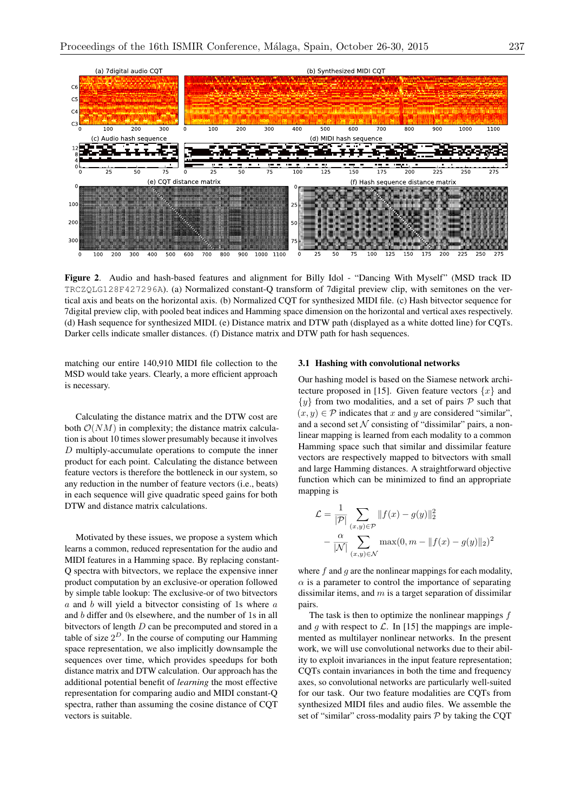

Figure 2. Audio and hash-based features and alignment for Billy Idol - "Dancing With Myself" (MSD track ID TRCZQLG128F427296A). (a) Normalized constant-Q transform of 7digital preview clip, with semitones on the vertical axis and beats on the horizontal axis. (b) Normalized CQT for synthesized MIDI file. (c) Hash bitvector sequence for 7digital preview clip, with pooled beat indices and Hamming space dimension on the horizontal and vertical axes respectively. (d) Hash sequence for synthesized MIDI. (e) Distance matrix and DTW path (displayed as a white dotted line) for CQTs. Darker cells indicate smaller distances. (f) Distance matrix and DTW path for hash sequences.

matching our entire 140,910 MIDI file collection to the MSD would take years. Clearly, a more efficient approach is necessary.

Calculating the distance matrix and the DTW cost are both  $O(NM)$  in complexity; the distance matrix calculation is about 10 times slower presumably because it involves *D* multiply-accumulate operations to compute the inner product for each point. Calculating the distance between feature vectors is therefore the bottleneck in our system, so any reduction in the number of feature vectors (i.e., beats) in each sequence will give quadratic speed gains for both DTW and distance matrix calculations.

Motivated by these issues, we propose a system which learns a common, reduced representation for the audio and MIDI features in a Hamming space. By replacing constant-Q spectra with bitvectors, we replace the expensive inner product computation by an exclusive-or operation followed by simple table lookup: The exclusive-or of two bitvectors *a* and *b* will yield a bitvector consisting of 1s where *a* and *b* differ and 0s elsewhere, and the number of 1s in all bitvectors of length *D* can be precomputed and stored in a table of size  $2^D$ . In the course of computing our Hamming space representation, we also implicitly downsample the sequences over time, which provides speedups for both distance matrix and DTW calculation. Our approach has the additional potential benefit of *learning* the most effective representation for comparing audio and MIDI constant-Q spectra, rather than assuming the cosine distance of CQT vectors is suitable.

#### 3.1 Hashing with convolutional networks

Our hashing model is based on the Siamese network architecture proposed in [15]. Given feature vectors  $\{x\}$  and  $\{y\}$  from two modalities, and a set of pairs  $P$  such that  $(x, y) \in \mathcal{P}$  indicates that *x* and *y* are considered "similar", and a second set  $N$  consisting of "dissimilar" pairs, a nonlinear mapping is learned from each modality to a common Hamming space such that similar and dissimilar feature vectors are respectively mapped to bitvectors with small and large Hamming distances. A straightforward objective function which can be minimized to find an appropriate mapping is

$$
\mathcal{L} = \frac{1}{|\mathcal{P}|} \sum_{(x,y)\in\mathcal{P}} ||f(x) - g(y)||_2^2
$$

$$
- \frac{\alpha}{|\mathcal{N}|} \sum_{(x,y)\in\mathcal{N}} \max(0, m - ||f(x) - g(y)||_2)^2
$$

where *f* and *g* are the nonlinear mappings for each modality,  $\alpha$  is a parameter to control the importance of separating dissimilar items, and *m* is a target separation of dissimilar pairs.

The task is then to optimize the nonlinear mappings *f* and *g* with respect to  $\mathcal{L}$ . In [15] the mappings are implemented as multilayer nonlinear networks. In the present work, we will use convolutional networks due to their ability to exploit invariances in the input feature representation; CQTs contain invariances in both the time and frequency axes, so convolutional networks are particularly well-suited for our task. Our two feature modalities are CQTs from synthesized MIDI files and audio files. We assemble the set of "similar" cross-modality pairs *P* by taking the CQT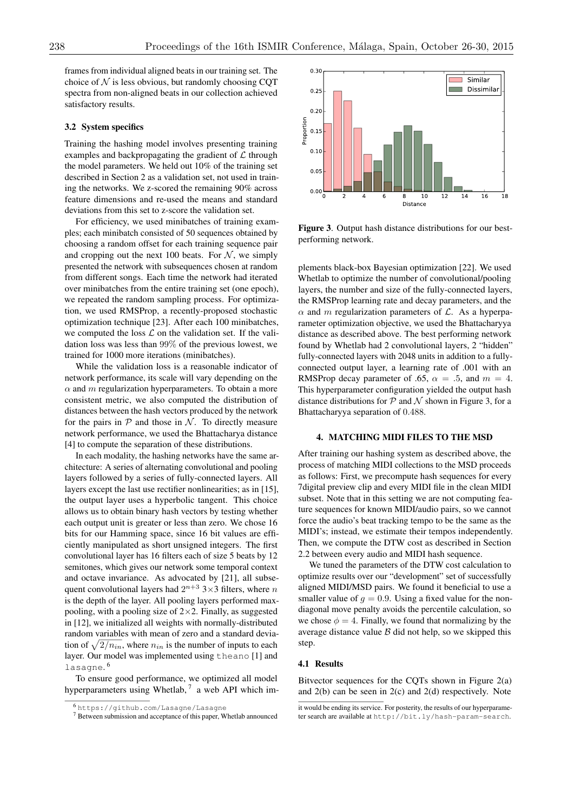frames from individual aligned beats in our training set. The choice of  $N$  is less obvious, but randomly choosing COT spectra from non-aligned beats in our collection achieved satisfactory results.

### 3.2 System specifics

Training the hashing model involves presenting training examples and backpropagating the gradient of *L* through the model parameters. We held out 10% of the training set described in Section 2 as a validation set, not used in training the networks. We z-scored the remaining 90% across feature dimensions and re-used the means and standard deviations from this set to z-score the validation set.

For efficiency, we used minibatches of training examples; each minibatch consisted of 50 sequences obtained by choosing a random offset for each training sequence pair and cropping out the next 100 beats. For  $N$ , we simply presented the network with subsequences chosen at random from different songs. Each time the network had iterated over minibatches from the entire training set (one epoch), we repeated the random sampling process. For optimization, we used RMSProp, a recently-proposed stochastic optimization technique [23]. After each 100 minibatches, we computed the loss  $\mathcal L$  on the validation set. If the validation loss was less than 99% of the previous lowest, we trained for 1000 more iterations (minibatches).

While the validation loss is a reasonable indicator of network performance, its scale will vary depending on the  $\alpha$  and  $m$  regularization hyperparameters. To obtain a more consistent metric, we also computed the distribution of distances between the hash vectors produced by the network for the pairs in  $P$  and those in  $N$ . To directly measure network performance, we used the Bhattacharya distance [4] to compute the separation of these distributions.

In each modality, the hashing networks have the same architecture: A series of alternating convolutional and pooling layers followed by a series of fully-connected layers. All layers except the last use rectifier nonlinearities; as in [15], the output layer uses a hyperbolic tangent. This choice allows us to obtain binary hash vectors by testing whether each output unit is greater or less than zero. We chose 16 bits for our Hamming space, since 16 bit values are efficiently manipulated as short unsigned integers. The first convolutional layer has 16 filters each of size 5 beats by 12 semitones, which gives our network some temporal context and octave invariance. As advocated by [21], all subsequent convolutional layers had  $2^{n+3}$   $3\times 3$  filters, where *n* is the depth of the layer. All pooling layers performed maxpooling, with a pooling size of  $2\times 2$ . Finally, as suggested in [12], we initialized all weights with normally-distributed random variables with mean of zero and a standard deviation of  $\sqrt{2/n_{in}}$ , where  $n_{in}$  is the number of inputs to each layer. Our model was implemented using theano [1] and lasagne. <sup>6</sup>

To ensure good performance, we optimized all model hyperparameters using Whetlab,  $7$  a web API which im-



Figure 3. Output hash distance distributions for our bestperforming network.

plements black-box Bayesian optimization [22]. We used Whetlab to optimize the number of convolutional/pooling layers, the number and size of the fully-connected layers, the RMSProp learning rate and decay parameters, and the  $\alpha$  and *m* regularization parameters of  $\mathcal{L}$ . As a hyperparameter optimization objective, we used the Bhattacharyya distance as described above. The best performing network found by Whetlab had 2 convolutional layers, 2 "hidden" fully-connected layers with 2048 units in addition to a fullyconnected output layer, a learning rate of .001 with an RMSProp decay parameter of .65,  $\alpha = .5$ , and  $m = 4$ . This hyperparameter configuration yielded the output hash distance distributions for *P* and *N* shown in Figure 3, for a Bhattacharyya separation of 0*.*488.

#### 4. MATCHING MIDI FILES TO THE MSD

After training our hashing system as described above, the process of matching MIDI collections to the MSD proceeds as follows: First, we precompute hash sequences for every 7digital preview clip and every MIDI file in the clean MIDI subset. Note that in this setting we are not computing feature sequences for known MIDI/audio pairs, so we cannot force the audio's beat tracking tempo to be the same as the MIDI's; instead, we estimate their tempos independently. Then, we compute the DTW cost as described in Section 2.2 between every audio and MIDI hash sequence.

We tuned the parameters of the DTW cost calculation to optimize results over our "development" set of successfully aligned MIDI/MSD pairs. We found it beneficial to use a smaller value of  $q = 0.9$ . Using a fixed value for the nondiagonal move penalty avoids the percentile calculation, so we chose  $\phi = 4$ . Finally, we found that normalizing by the average distance value  $\beta$  did not help, so we skipped this step.

#### 4.1 Results

Bitvector sequences for the CQTs shown in Figure 2(a) and 2(b) can be seen in 2(c) and 2(d) respectively. Note

<sup>6</sup> https://github.com/Lasagne/Lasagne

<sup>7</sup> Between submission and acceptance of this paper, Whetlab announced

it would be ending its service. For posterity, the results of our hyperparameter search are available at http://bit.ly/hash-param-search.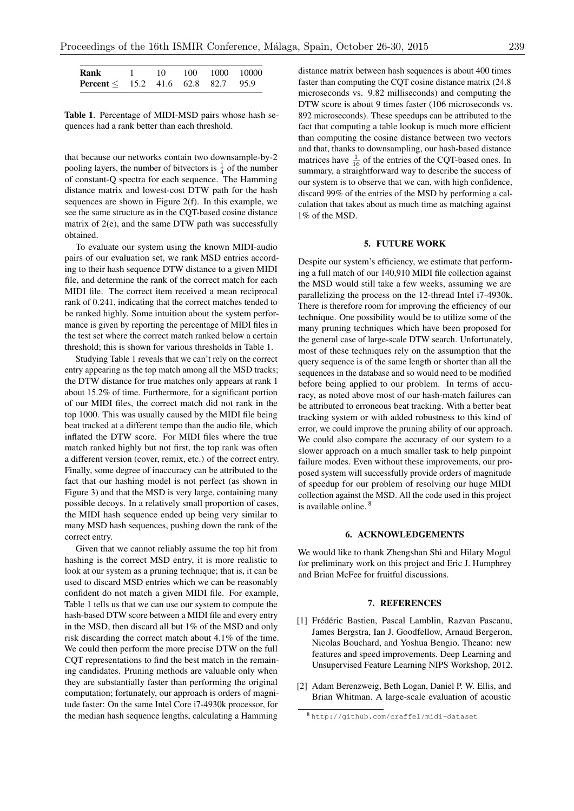| Rank                                           |  |  | 10 100 1000 10000 |
|------------------------------------------------|--|--|-------------------|
| <b>Percent</b> $\leq$ 15.2 41.6 62.8 82.7 95.9 |  |  |                   |

Table 1. Percentage of MIDI-MSD pairs whose hash sequences had a rank better than each threshold.

that because our networks contain two downsample-by-2 pooling layers, the number of bitvectors is  $\frac{1}{4}$  of the number of constant-Q spectra for each sequence. The Hamming distance matrix and lowest-cost DTW path for the hash sequences are shown in Figure 2(f). In this example, we see the same structure as in the CQT-based cosine distance matrix of 2(e), and the same DTW path was successfully obtained.

To evaluate our system using the known MIDI-audio pairs of our evaluation set, we rank MSD entries according to their hash sequence DTW distance to a given MIDI file, and determine the rank of the correct match for each MIDI file. The correct item received a mean reciprocal rank of 0*.*241, indicating that the correct matches tended to be ranked highly. Some intuition about the system performance is given by reporting the percentage of MIDI files in the test set where the correct match ranked below a certain threshold; this is shown for various thresholds in Table 1.

Studying Table 1 reveals that we can't rely on the correct entry appearing as the top match among all the MSD tracks; the DTW distance for true matches only appears at rank 1 about 15.2% of time. Furthermore, for a significant portion of our MIDI files, the correct match did not rank in the top 1000. This was usually caused by the MIDI file being beat tracked at a different tempo than the audio file, which inflated the DTW score. For MIDI files where the true match ranked highly but not first, the top rank was often a different version (cover, remix, etc.) of the correct entry. Finally, some degree of inaccuracy can be attributed to the fact that our hashing model is not perfect (as shown in Figure 3) and that the MSD is very large, containing many possible decoys. In a relatively small proportion of cases, the MIDI hash sequence ended up being very similar to many MSD hash sequences, pushing down the rank of the correct entry.

Given that we cannot reliably assume the top hit from hashing is the correct MSD entry, it is more realistic to look at our system as a pruning technique; that is, it can be used to discard MSD entries which we can be reasonably confident do not match a given MIDI file. For example, Table 1 tells us that we can use our system to compute the hash-based DTW score between a MIDI file and every entry in the MSD, then discard all but 1% of the MSD and only risk discarding the correct match about 4.1% of the time. We could then perform the more precise DTW on the full CQT representations to find the best match in the remaining candidates. Pruning methods are valuable only when they are substantially faster than performing the original computation; fortunately, our approach is orders of magnitude faster: On the same Intel Core i7-4930k processor, for the median hash sequence lengths, calculating a Hamming

distance matrix between hash sequences is about 400 times faster than computing the CQT cosine distance matrix (24.8 microseconds vs. 9.82 milliseconds) and computing the DTW score is about 9 times faster (106 microseconds vs. 892 microseconds). These speedups can be attributed to the fact that computing a table lookup is much more efficient than computing the cosine distance between two vectors and that, thanks to downsampling, our hash-based distance matrices have  $\frac{1}{16}$  of the entries of the CQT-based ones. In summary, a straightforward way to describe the success of our system is to observe that we can, with high confidence, discard 99% of the entries of the MSD by performing a calculation that takes about as much time as matching against 1% of the MSD.

#### 5. FUTURE WORK

Despite our system's efficiency, we estimate that performing a full match of our 140,910 MIDI file collection against the MSD would still take a few weeks, assuming we are parallelizing the process on the 12-thread Intel i7-4930k. There is therefore room for improving the efficiency of our technique. One possibility would be to utilize some of the many pruning techniques which have been proposed for the general case of large-scale DTW search. Unfortunately, most of these techniques rely on the assumption that the query sequence is of the same length or shorter than all the sequences in the database and so would need to be modified before being applied to our problem. In terms of accuracy, as noted above most of our hash-match failures can be attributed to erroneous beat tracking. With a better beat tracking system or with added robustness to this kind of error, we could improve the pruning ability of our approach. We could also compare the accuracy of our system to a slower approach on a much smaller task to help pinpoint failure modes. Even without these improvements, our proposed system will successfully provide orders of magnitude of speedup for our problem of resolving our huge MIDI collection against the MSD. All the code used in this project is available online. <sup>8</sup>

### 6. ACKNOWLEDGEMENTS

We would like to thank Zhengshan Shi and Hilary Mogul for preliminary work on this project and Eric J. Humphrey and Brian McFee for fruitful discussions.

### 7. REFERENCES

- [1] Frédéric Bastien, Pascal Lamblin, Razvan Pascanu, James Bergstra, Ian J. Goodfellow, Arnaud Bergeron, Nicolas Bouchard, and Yoshua Bengio. Theano: new features and speed improvements. Deep Learning and Unsupervised Feature Learning NIPS Workshop, 2012.
- [2] Adam Berenzweig, Beth Logan, Daniel P. W. Ellis, and Brian Whitman. A large-scale evaluation of acoustic

<sup>8</sup> http://github.com/craffel/midi-dataset